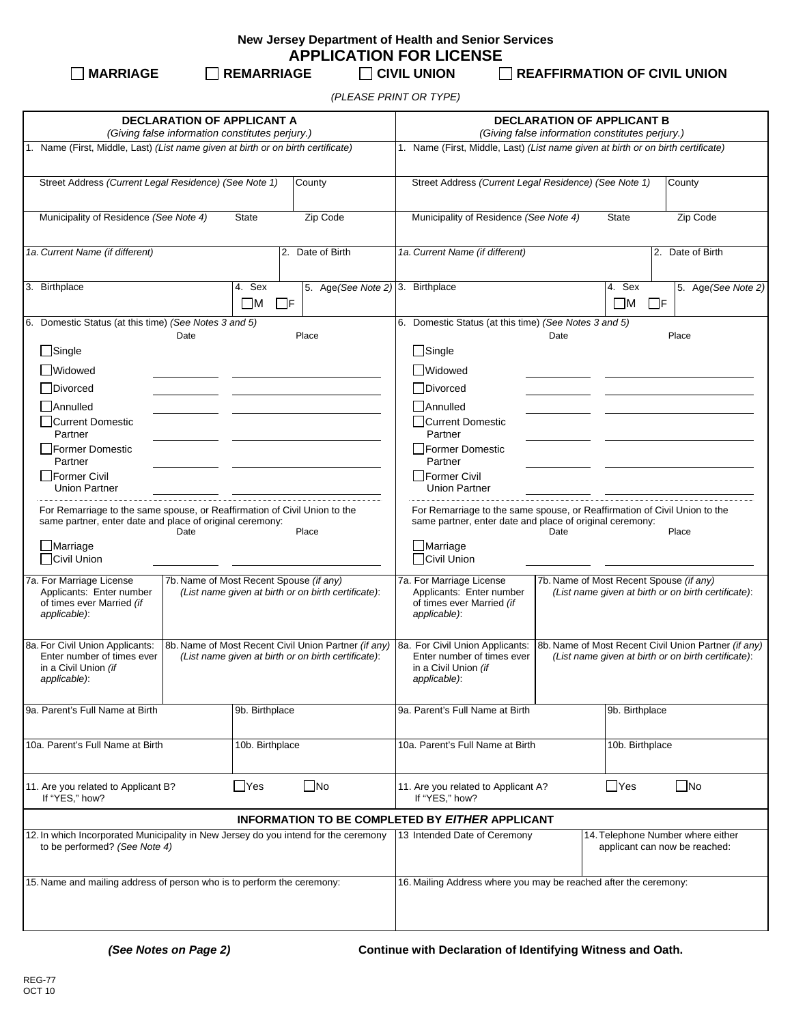| New Jersey Department of Health and Senior Services |  |  |
|-----------------------------------------------------|--|--|
| <b>APPLICATION FOR LICENSE</b>                      |  |  |

 **MARRIAGE REMARRIAGE CIVIL UNION REAFFIRMATION OF CIVIL UNION**

*(PLEASE PRINT OR TYPE)*

| <b>DECLARATION OF APPLICANT A</b><br>(Giving false information constitutes perjury.)                                                                                                     |                                                                                                             |                                                                                                                                                                                                     | <b>DECLARATION OF APPLICANT B</b><br>(Giving false information constitutes perjury.)                        |  |  |
|------------------------------------------------------------------------------------------------------------------------------------------------------------------------------------------|-------------------------------------------------------------------------------------------------------------|-----------------------------------------------------------------------------------------------------------------------------------------------------------------------------------------------------|-------------------------------------------------------------------------------------------------------------|--|--|
| 1. Name (First, Middle, Last) (List name given at birth or on birth certificate)                                                                                                         |                                                                                                             |                                                                                                                                                                                                     | 1. Name (First, Middle, Last) (List name given at birth or on birth certificate)                            |  |  |
| Street Address (Current Legal Residence) (See Note 1)                                                                                                                                    | County                                                                                                      | Street Address (Current Legal Residence) (See Note 1)                                                                                                                                               | County                                                                                                      |  |  |
| Municipality of Residence (See Note 4)                                                                                                                                                   | Zip Code<br><b>State</b>                                                                                    | Municipality of Residence (See Note 4)                                                                                                                                                              | Zip Code<br><b>State</b>                                                                                    |  |  |
| 1a. Current Name (if different)                                                                                                                                                          | 2. Date of Birth                                                                                            | 1a. Current Name (if different)                                                                                                                                                                     | 2. Date of Birth                                                                                            |  |  |
| 3. Birthplace                                                                                                                                                                            | 4. Sex<br>$\square$ M<br>$\Box$ F                                                                           | 5. Age (See Note 2) 3. Birthplace                                                                                                                                                                   | 4. Sex<br>5. Age (See Note 2)<br>$\square$ M<br>$\Box$ F                                                    |  |  |
| 6. Domestic Status (at this time) (See Notes 3 and 5)<br>Date                                                                                                                            | Place                                                                                                       | 6. Domestic Status (at this time) (See Notes 3 and 5)                                                                                                                                               | Date<br>Place                                                                                               |  |  |
| $\Box$ Single                                                                                                                                                                            |                                                                                                             | $\Box$ Single                                                                                                                                                                                       |                                                                                                             |  |  |
| <b>Widowed</b>                                                                                                                                                                           |                                                                                                             | Widowed                                                                                                                                                                                             |                                                                                                             |  |  |
| <b>Divorced</b>                                                                                                                                                                          |                                                                                                             | Divorced                                                                                                                                                                                            |                                                                                                             |  |  |
| Annulled                                                                                                                                                                                 |                                                                                                             | Annulled                                                                                                                                                                                            |                                                                                                             |  |  |
| □Current Domestic<br>Partner                                                                                                                                                             |                                                                                                             | □Current Domestic<br>Partner                                                                                                                                                                        |                                                                                                             |  |  |
| Former Domestic                                                                                                                                                                          |                                                                                                             | Former Domestic                                                                                                                                                                                     |                                                                                                             |  |  |
| Partner<br>Former Civil<br><b>Union Partner</b>                                                                                                                                          |                                                                                                             | Partner<br>Former Civil<br><b>Union Partner</b>                                                                                                                                                     |                                                                                                             |  |  |
| For Remarriage to the same spouse, or Reaffirmation of Civil Union to the<br>same partner, enter date and place of original ceremony:<br>Date<br>Place<br>$\Box$ Marriage<br>Civil Union |                                                                                                             | same partner, enter date and place of original ceremony:<br>$\Box$ Marriage<br>Civil Union                                                                                                          | For Remarriage to the same spouse, or Reaffirmation of Civil Union to the<br>Date<br>Place                  |  |  |
|                                                                                                                                                                                          |                                                                                                             |                                                                                                                                                                                                     |                                                                                                             |  |  |
| 7a. For Marriage License<br>Applicants: Enter number<br>of times ever Married (if<br>applicable):                                                                                        | 7b. Name of Most Recent Spouse (if any)<br>(List name given at birth or on birth certificate):              | 7a. For Marriage License<br>7b. Name of Most Recent Spouse (if any)<br>Applicants: Enter number<br>(List name given at birth or on birth certificate):<br>of times ever Married (if<br>applicable): |                                                                                                             |  |  |
| 8a. For Civil Union Applicants:<br>Enter number of times ever<br>in a Civil Union (if<br>applicable):                                                                                    | 8b. Name of Most Recent Civil Union Partner (if any)<br>(List name given at birth or on birth certificate): | 8a. For Civil Union Applicants:<br>Enter number of times ever<br>in a Civil Union (if<br>applicable):                                                                                               | 8b. Name of Most Recent Civil Union Partner (if any)<br>(List name given at birth or on birth certificate): |  |  |
| 9a. Parent's Full Name at Birth                                                                                                                                                          | 9b. Birthplace                                                                                              | 9a. Parent's Full Name at Birth                                                                                                                                                                     | 9b. Birthplace                                                                                              |  |  |
| 10a. Parent's Full Name at Birth                                                                                                                                                         | 10b. Birthplace                                                                                             | 10a. Parent's Full Name at Birth<br>10b. Birthplace                                                                                                                                                 |                                                                                                             |  |  |
| 11. Are you related to Applicant B?<br>If "YES," how?                                                                                                                                    | $\Box$ No<br>∐Yes                                                                                           | $\Box$ Yes<br>$\square$ No<br>11. Are you related to Applicant A?<br>If "YES," how?                                                                                                                 |                                                                                                             |  |  |
|                                                                                                                                                                                          |                                                                                                             | INFORMATION TO BE COMPLETED BY EITHER APPLICANT                                                                                                                                                     |                                                                                                             |  |  |
| 12. In which Incorporated Municipality in New Jersey do you intend for the ceremony<br>to be performed? (See Note 4)                                                                     |                                                                                                             | 13 Intended Date of Ceremony<br>14. Telephone Number where either<br>applicant can now be reached:                                                                                                  |                                                                                                             |  |  |
| 15. Name and mailing address of person who is to perform the ceremony:                                                                                                                   |                                                                                                             | 16. Mailing Address where you may be reached after the ceremony:                                                                                                                                    |                                                                                                             |  |  |

*(See Notes on Page 2)* **Continue with Declaration of Identifying Witness and Oath.**